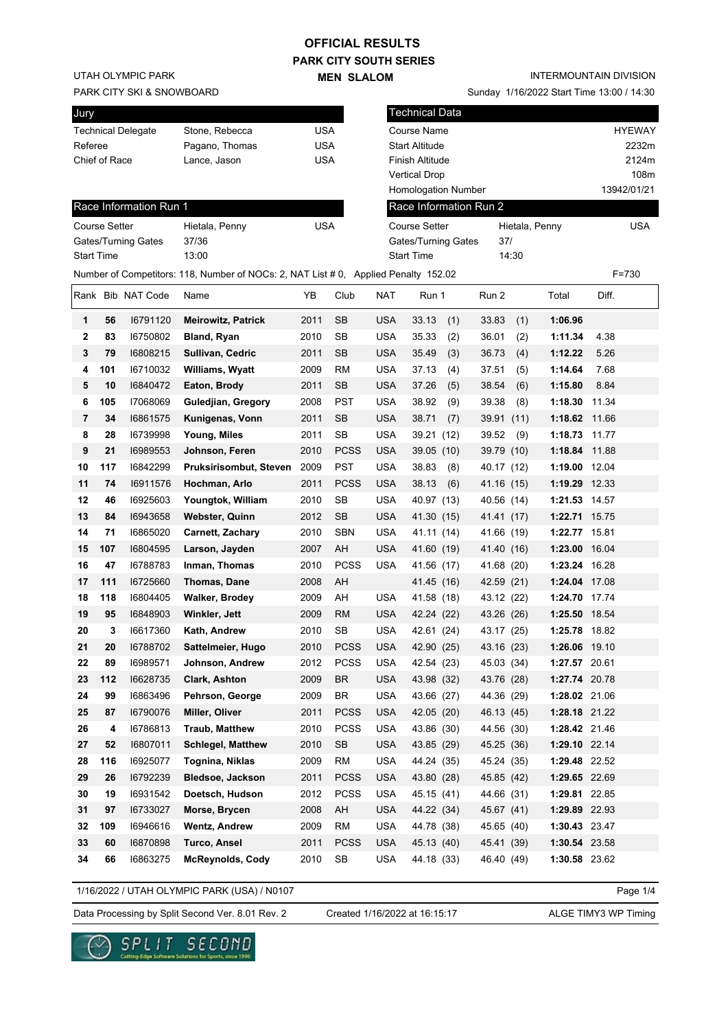### **PARK CITY SOUTH SERIES OFFICIAL RESULTS**

**MEN SLALOM** 

UTAH OLYMPIC PARK

#### PARK CITY SKI & SNOWBOARD

| Jury              |     |                           |                                                                         |            |            | T              |  |
|-------------------|-----|---------------------------|-------------------------------------------------------------------------|------------|------------|----------------|--|
|                   |     | <b>Technical Delegate</b> | Stone, Rebecca                                                          | USA        |            | C٥             |  |
| Referee           |     |                           | Pagano, Thomas                                                          | <b>USA</b> |            | St             |  |
| Chief of Race     |     |                           | Lance, Jason                                                            | <b>USA</b> |            | Fi             |  |
|                   |     |                           |                                                                         |            |            | V٤             |  |
|                   |     |                           |                                                                         |            |            | H              |  |
|                   |     | Race Information Run 1    |                                                                         |            |            | $\mathsf R$    |  |
| Course Setter     |     |                           | Hietala, Penny                                                          |            | <b>USA</b> |                |  |
|                   |     | Gates/Turning Gates       | 37/36                                                                   |            |            | G              |  |
| <b>Start Time</b> |     |                           | 13:00                                                                   |            |            | St             |  |
|                   |     |                           | Number of Competitors: 118, Number of NOCs: 2, NAT List # 0, Applied Pe |            |            |                |  |
|                   |     | Rank Bib NAT Code         | Name                                                                    | YB         | Club       | <b>NAT</b>     |  |
| 1                 | 56  | 16791120                  | <b>Meirowitz, Patrick</b>                                               | 2011       | <b>SB</b>  | <b>USA</b>     |  |
| 2                 | 83  | 16750802                  | Bland, Ryan                                                             | 2010       | <b>SB</b>  | <b>USA</b>     |  |
| 3                 | 79  | 16808215                  | Sullivan, Cedric                                                        | 2011       | <b>SB</b>  | <b>USA</b>     |  |
| 4                 | 101 | 16710032                  | Williams, Wyatt                                                         | 2009       | <b>RM</b>  | <b>USA</b>     |  |
| 5                 | 10  | 16840472                  | Eaton, Brody                                                            | 2011       | <b>SB</b>  | <b>USA</b>     |  |
|                   |     | 17000000                  |                                                                         | ----       | ---        | . . <b>.</b> . |  |

INTERMOUNTAIN DIVISION

Sunday 1/16/2022 Start Time 13:00 / 14:30

| Jury              |           |                        |                                                                                     |              |                        |                          | <b>Technical Data</b>                              |                       |                    |                     |
|-------------------|-----------|------------------------|-------------------------------------------------------------------------------------|--------------|------------------------|--------------------------|----------------------------------------------------|-----------------------|--------------------|---------------------|
|                   |           | Technical Delegate     | Stone, Rebecca                                                                      | <b>USA</b>   |                        |                          | Course Name                                        |                       |                    | <b>HYEWAY</b>       |
| Referee           |           |                        | Pagano, Thomas                                                                      | <b>USA</b>   |                        |                          | <b>Start Altitude</b>                              |                       |                    | 2232m               |
| Chief of Race     |           |                        | Lance, Jason                                                                        | <b>USA</b>   |                        |                          | Finish Altitude                                    |                       |                    | 2124m               |
|                   |           |                        |                                                                                     |              |                        |                          | <b>Vertical Drop</b><br><b>Homologation Number</b> |                       |                    | 108m<br>13942/01/21 |
|                   |           | Race Information Run 1 |                                                                                     |              |                        |                          | Race Information Run 2                             |                       |                    |                     |
| Course Setter     |           |                        |                                                                                     | <b>USA</b>   |                        |                          | <b>Course Setter</b>                               |                       |                    | <b>USA</b>          |
|                   |           | Gates/Turning Gates    | Hietala, Penny<br>37/36                                                             |              |                        |                          | Gates/Turning Gates                                | Hietala, Penny<br>37/ |                    |                     |
| <b>Start Time</b> |           |                        | 13:00                                                                               |              |                        |                          | <b>Start Time</b>                                  | 14:30                 |                    |                     |
|                   |           |                        | Number of Competitors: 118, Number of NOCs: 2, NAT List # 0, Applied Penalty 152.02 |              |                        |                          |                                                    |                       |                    | $F = 730$           |
|                   |           | Rank Bib NAT Code      | Name                                                                                | YB           | Club                   | <b>NAT</b>               | Run 1                                              | Run 2                 | Total              | Diff.               |
|                   |           |                        |                                                                                     |              |                        |                          |                                                    |                       |                    |                     |
| 1                 | 56        | 16791120               | <b>Meirowitz, Patrick</b>                                                           | 2011         | <b>SB</b>              | <b>USA</b>               | 33.13<br>(1)                                       | 33.83<br>(1)          | 1:06.96<br>1:11.34 |                     |
| 2                 | 83        | 16750802               | <b>Bland, Ryan</b>                                                                  | 2010         | SB                     | <b>USA</b>               | 35.33<br>(2)                                       | 36.01<br>(2)          |                    | 4.38                |
| 3                 | 79        | 16808215               | Sullivan, Cedric                                                                    | 2011         | <b>SB</b>              | <b>USA</b>               | 35.49<br>(3)                                       | 36.73<br>(4)          | 1:12.22            | 5.26                |
| 4                 | 101<br>10 | 16710032<br>16840472   | <b>Williams, Wyatt</b>                                                              | 2009<br>2011 | <b>RM</b><br><b>SB</b> | <b>USA</b><br><b>USA</b> | 37.13<br>(4)<br>37.26                              | (5)<br>37.51<br>38.54 | 1:14.64<br>1:15.80 | 7.68<br>8.84        |
| 5<br>6            | 105       | 17068069               | Eaton, Brody<br>Guledjian, Gregory                                                  | 2008         | <b>PST</b>             | <b>USA</b>               | (5)<br>38.92<br>(9)                                | (6)<br>39.38<br>(8)   | 1:18.30            | 11.34               |
| 7                 | 34        | 16861575               | Kunigenas, Vonn                                                                     | 2011         | <b>SB</b>              | <b>USA</b>               | 38.71<br>(7)                                       | 39.91<br>(11)         | 1:18.62            | 11.66               |
| 8                 | 28        | 16739998               | Young, Miles                                                                        | 2011         | <b>SB</b>              | <b>USA</b>               | 39.21 (12)                                         | 39.52<br>(9)          | 1:18.73 11.77      |                     |
| 9                 | 21        | 16989553               | Johnson, Feren                                                                      | 2010         | <b>PCSS</b>            | <b>USA</b>               | 39.05 (10)                                         | 39.79 (10)            | 1:18.84 11.88      |                     |
| 10                | 117       | 16842299               | Pruksirisombut, Steven                                                              | 2009         | <b>PST</b>             | <b>USA</b>               | 38.83<br>(8)                                       | 40.17 (12)            | 1:19.00 12.04      |                     |
| 11                | 74        | 16911576               | Hochman, Arlo                                                                       | 2011         | <b>PCSS</b>            | <b>USA</b>               | 38.13<br>(6)                                       | 41.16 (15)            | 1:19.29 12.33      |                     |
| 12                | 46        | 16925603               | Youngtok, William                                                                   | 2010         | <b>SB</b>              | <b>USA</b>               | 40.97 (13)                                         | 40.56 (14)            | 1:21.53 14.57      |                     |
| 13                | 84        | 16943658               | <b>Webster, Quinn</b>                                                               | 2012         | <b>SB</b>              | <b>USA</b>               | 41.30 (15)                                         | 41.41 (17)            | 1:22.71 15.75      |                     |
| 14                | 71        | 16865020               | <b>Carnett, Zachary</b>                                                             | 2010         | <b>SBN</b>             | <b>USA</b>               | 41.11 (14)                                         | 41.66 (19)            | 1:22.77 15.81      |                     |
| 15                | 107       | 16804595               | Larson, Jayden                                                                      | 2007         | AH                     | <b>USA</b>               | 41.60 (19)                                         | 41.40 (16)            | 1:23.00 16.04      |                     |
| 16                | 47        | 16788783               | Inman, Thomas                                                                       | 2010         | <b>PCSS</b>            | <b>USA</b>               | 41.56 (17)                                         | 41.68 (20)            | 1:23.24 16.28      |                     |
| 17                | 111       | 16725660               | Thomas, Dane                                                                        | 2008         | AH                     |                          | 41.45 (16)                                         | 42.59 (21)            | 1:24.04 17.08      |                     |
| 18                | 118       | 16804405               | <b>Walker, Brodey</b>                                                               | 2009         | AH                     | <b>USA</b>               | 41.58 (18)                                         | 43.12 (22)            | 1:24.70 17.74      |                     |
| 19                | 95        | 16848903               | Winkler, Jett                                                                       | 2009         | <b>RM</b>              | <b>USA</b>               | 42.24 (22)                                         | 43.26 (26)            | 1:25.50 18.54      |                     |
| 20                | 3         | 16617360               | Kath, Andrew                                                                        | 2010         | <b>SB</b>              | <b>USA</b>               | 42.61 (24)                                         | 43.17 (25)            | 1:25.78 18.82      |                     |
| 21                | 20        | 16788702               | Sattelmeier, Hugo                                                                   | 2010         | PCSS                   | USA                      | 42.90 (25)                                         | 43.16 (23)            | 1:26.06 19.10      |                     |
| 22                | 89        | 16989571               | Johnson, Andrew                                                                     | 2012         | <b>PCSS</b>            | USA                      | 42.54 (23)                                         | 45.03 (34)            | 1:27.57 20.61      |                     |
| 23                | 112       | 16628735               | Clark, Ashton                                                                       | 2009         | <b>BR</b>              | <b>USA</b>               | 43.98 (32)                                         | 43.76 (28)            | 1:27.74 20.78      |                     |
| 24                | 99        | 16863496               | Pehrson, George                                                                     | 2009         | BR                     | <b>USA</b>               | 43.66 (27)                                         | 44.36 (29)            | 1:28.02 21.06      |                     |
| 25                | 87        | 16790076               | Miller, Oliver                                                                      | 2011         | <b>PCSS</b>            | <b>USA</b>               | 42.05 (20)                                         | 46.13 (45)            | 1:28.18 21.22      |                     |
| 26                | 4         | 16786813               | <b>Traub, Matthew</b>                                                               | 2010         | <b>PCSS</b>            | USA                      | 43.86 (30)                                         | 44.56 (30)            | 1:28.42 21.46      |                     |
| 27                | 52        | 16807011               | <b>Schlegel, Matthew</b>                                                            | 2010         | SB                     | <b>USA</b>               | 43.85 (29)                                         | 45.25 (36)            | 1:29.10 22.14      |                     |
| 28                | 116       | 16925077               | Tognina, Niklas                                                                     | 2009         | <b>RM</b>              | <b>USA</b>               | 44.24 (35)                                         | 45.24 (35)            | 1:29.48 22.52      |                     |
| 29                | 26        | 16792239               | <b>Bledsoe, Jackson</b>                                                             | 2011         | <b>PCSS</b>            | <b>USA</b>               | 43.80 (28)                                         | 45.85 (42)            | 1:29.65 22.69      |                     |
| 30                | 19        | 16931542               | Doetsch, Hudson                                                                     | 2012         | <b>PCSS</b>            | USA                      | 45.15 (41)                                         | 44.66 (31)            | 1:29.81 22.85      |                     |
| 31                | 97        | 16733027               | Morse, Brycen                                                                       | 2008         | AH                     | <b>USA</b>               | 44.22 (34)                                         | 45.67 (41)            | 1:29.89 22.93      |                     |
| 32                | 109       | 16946616               | <b>Wentz, Andrew</b>                                                                | 2009         | <b>RM</b>              | <b>USA</b>               | 44.78 (38)                                         | 45.65 (40)            | 1:30.43 23.47      |                     |
| 33                | 60        | 16870898               | <b>Turco, Ansel</b>                                                                 | 2011         | <b>PCSS</b>            | <b>USA</b>               | 45.13 (40)                                         | 45.41 (39)            | 1:30.54 23.58      |                     |
| 34                | 66        | 16863275               | <b>McReynolds, Cody</b>                                                             | 2010         | SB                     | <b>USA</b>               | 44.18 (33)                                         | 46.40 (49)            | 1:30.58 23.62      |                     |

1/16/2022 / UTAH OLYMPIC PARK (USA) / N0107

Data Processing by Split Second Ver. 8.01 Rev. 2 Created 1/16/2022 at 16:15:17 ALGE TIMY3 WP Timing

e Salutians for Sports, since 1990

Created 1/16/2022 at 16:15:17

Page 1/4

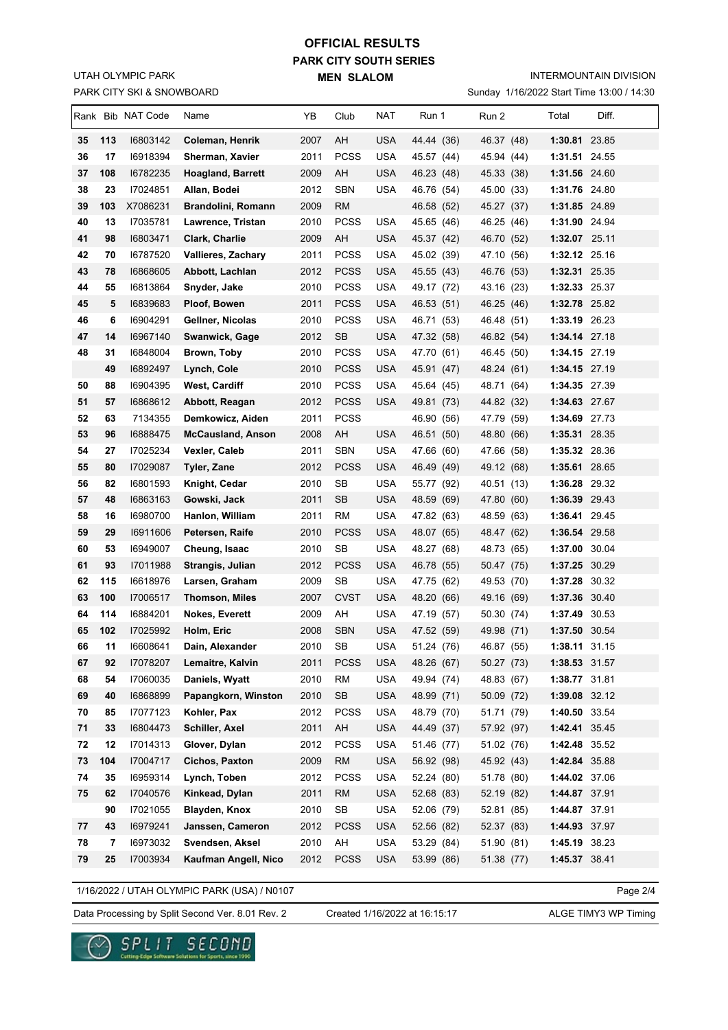### PARK CITY SKI & SNOWBOARD UTAH OLYMPIC PARK

## **PARK CITY SOUTH SERIES MEN SLALOM OFFICIAL RESULTS**

INTERMOUNTAIN DIVISION

Sunday 1/16/2022 Start Time 13:00 / 14:30

| 2007<br>AH<br><b>USA</b><br>35<br>113<br>16803142<br>Coleman, Henrik<br>44.44 (36)<br>46.37 (48)<br>1:30.81 23.85<br><b>PCSS</b><br>36<br>17<br>16918394<br>Sherman, Xavier<br>2011<br><b>USA</b><br>1:31.51 24.55<br>45.57 (44)<br>45.94 (44)<br>37<br>108<br>AH<br><b>USA</b><br>16782235<br><b>Hoagland, Barrett</b><br>2009<br>46.23 (48)<br>45.33 (38)<br>1:31.56 24.60<br>38<br>17024851<br>2012<br><b>SBN</b><br><b>USA</b><br>1:31.76 24.80<br>23<br>Allan, Bodei<br>46.76 (54)<br>45.00 (33)<br>39<br>103<br>X7086231<br>2009<br><b>RM</b><br>1:31.85 24.89<br>Brandolini, Romann<br>46.58 (52)<br>45.27 (37) |  |
|------------------------------------------------------------------------------------------------------------------------------------------------------------------------------------------------------------------------------------------------------------------------------------------------------------------------------------------------------------------------------------------------------------------------------------------------------------------------------------------------------------------------------------------------------------------------------------------------------------------------|--|
|                                                                                                                                                                                                                                                                                                                                                                                                                                                                                                                                                                                                                        |  |
|                                                                                                                                                                                                                                                                                                                                                                                                                                                                                                                                                                                                                        |  |
|                                                                                                                                                                                                                                                                                                                                                                                                                                                                                                                                                                                                                        |  |
|                                                                                                                                                                                                                                                                                                                                                                                                                                                                                                                                                                                                                        |  |
|                                                                                                                                                                                                                                                                                                                                                                                                                                                                                                                                                                                                                        |  |
| 40<br>17035781<br>2010<br><b>PCSS</b><br>13<br>Lawrence, Tristan<br>USA<br>46.25 (46)<br>1:31.90 24.94<br>45.65 (46)                                                                                                                                                                                                                                                                                                                                                                                                                                                                                                   |  |
| 41<br>98<br>16803471<br>2009<br>AH<br><b>USA</b><br>1:32.07 25.11<br>Clark, Charlie<br>45.37 (42)<br>46.70 (52)                                                                                                                                                                                                                                                                                                                                                                                                                                                                                                        |  |
| 16787520<br><b>PCSS</b><br><b>USA</b><br>1:32.12 25.16<br>42<br>70<br><b>Vallieres, Zachary</b><br>2011<br>45.02 (39)<br>47.10 (56)                                                                                                                                                                                                                                                                                                                                                                                                                                                                                    |  |
| <b>PCSS</b><br><b>USA</b><br>43<br>78<br>16868605<br>Abbott, Lachlan<br>2012<br>45.55 (43)<br>46.76 (53)<br>1:32.31 25.35                                                                                                                                                                                                                                                                                                                                                                                                                                                                                              |  |
| 44<br>16813864<br>2010<br><b>PCSS</b><br><b>USA</b><br>1:32.33 25.37<br>55<br>Snyder, Jake<br>49.17 (72)<br>43.16 (23)                                                                                                                                                                                                                                                                                                                                                                                                                                                                                                 |  |
| 45<br>5<br>16839683<br>Ploof, Bowen<br>2011<br>PCSS<br>USA<br>46.53 (51)<br>46.25 (46)<br>1:32.78 25.82                                                                                                                                                                                                                                                                                                                                                                                                                                                                                                                |  |
| 46<br><b>PCSS</b><br><b>USA</b><br>6<br>16904291<br>Gellner, Nicolas<br>2010<br>46.71 (53)<br>46.48 (51)<br>1:33.19 26.23                                                                                                                                                                                                                                                                                                                                                                                                                                                                                              |  |
| 47<br><b>SB</b><br><b>USA</b><br>14<br>16967140<br>Swanwick, Gage<br>2012<br>47.32 (58)<br>46.82 (54)<br>1:34.14 27.18                                                                                                                                                                                                                                                                                                                                                                                                                                                                                                 |  |
| 48<br>31<br>16848004<br><b>PCSS</b><br><b>USA</b><br>1:34.15 27.19<br>Brown, Toby<br>2010<br>47.70 (61)<br>46.45 (50)                                                                                                                                                                                                                                                                                                                                                                                                                                                                                                  |  |
| 49<br>16892497<br>2010<br><b>PCSS</b><br><b>USA</b><br>1:34.15 27.19<br>Lynch, Cole<br>45.91 (47)<br>48.24 (61)                                                                                                                                                                                                                                                                                                                                                                                                                                                                                                        |  |
| 88<br>16904395<br><b>PCSS</b><br><b>USA</b><br>1:34.35 27.39<br>50<br>West, Cardiff<br>2010<br>45.64 (45)<br>48.71 (64)                                                                                                                                                                                                                                                                                                                                                                                                                                                                                                |  |
| 16868612<br>2012<br><b>PCSS</b><br>1:34.63 27.67<br>51<br>57<br>USA<br>49.81 (73)<br>44.82 (32)<br>Abbott, Reagan                                                                                                                                                                                                                                                                                                                                                                                                                                                                                                      |  |
| 52<br>63<br>7134355<br>2011<br><b>PCSS</b><br>1:34.69 27.73<br>Demkowicz, Aiden<br>46.90 (56)<br>47.79 (59)                                                                                                                                                                                                                                                                                                                                                                                                                                                                                                            |  |
| 53<br>USA<br>96<br>16888475<br><b>McCausland, Anson</b><br>2008<br>AH<br>46.51 (50)<br>48.80 (66)<br>1:35.31 28.35                                                                                                                                                                                                                                                                                                                                                                                                                                                                                                     |  |
| 54<br><b>SBN</b><br><b>USA</b><br>27<br>17025234<br>Vexler, Caleb<br>2011<br>47.66 (60)<br>47.66 (58)<br>1:35.32 28.36                                                                                                                                                                                                                                                                                                                                                                                                                                                                                                 |  |
| 55<br>17029087<br><b>PCSS</b><br><b>USA</b><br>80<br>Tyler, Zane<br>2012<br>46.49 (49)<br>49.12 (68)<br>1:35.61 28.65                                                                                                                                                                                                                                                                                                                                                                                                                                                                                                  |  |
| 56<br>82<br>16801593<br>2010<br>SB<br><b>USA</b><br>1:36.28 29.32<br>Knight, Cedar<br>55.77 (92)<br>40.51 (13)                                                                                                                                                                                                                                                                                                                                                                                                                                                                                                         |  |
| 57<br>16863163<br><b>SB</b><br><b>USA</b><br>48<br>2011<br>47.80 (60)<br>1:36.39 29.43<br>Gowski, Jack<br>48.59 (69)                                                                                                                                                                                                                                                                                                                                                                                                                                                                                                   |  |
| 58<br>16980700<br>2011<br>RM<br><b>USA</b><br>1:36.41 29.45<br>16<br>Hanlon, William<br>47.82 (63)<br>48.59<br>(63)                                                                                                                                                                                                                                                                                                                                                                                                                                                                                                    |  |
| 59<br>29<br>16911606<br>2010<br><b>PCSS</b><br><b>USA</b><br>1:36.54 29.58<br>Petersen, Raife<br>48.47 (62)<br>48.07 (65)                                                                                                                                                                                                                                                                                                                                                                                                                                                                                              |  |
| 16949007<br>2010<br>SB<br><b>USA</b><br>1:37.00 30.04<br>60<br>53<br>Cheung, Isaac<br>48.27 (68)<br>48.73 (65)                                                                                                                                                                                                                                                                                                                                                                                                                                                                                                         |  |
| 17011988<br><b>PCSS</b><br>USA<br>1:37.25 30.29<br>61<br>93<br>Strangis, Julian<br>2012<br>46.78 (55)<br>50.47 (75)                                                                                                                                                                                                                                                                                                                                                                                                                                                                                                    |  |
| 62<br>115<br>16618976<br>2009<br>SВ<br>USA<br>49.53 (70)<br>1:37.28 30.32<br>Larsen, Graham<br>47.75 (62)                                                                                                                                                                                                                                                                                                                                                                                                                                                                                                              |  |
| <b>CVST</b><br>63<br>100<br>17006517<br><b>Thomson, Miles</b><br>2007<br>USA<br>48.20 (66)<br>49.16 (69)<br>1:37.36 30.40                                                                                                                                                                                                                                                                                                                                                                                                                                                                                              |  |
| 64<br>114<br>16884201<br><b>Nokes, Everett</b><br>2009<br>AH<br>USA<br>47.19 (57)<br>50.30 (74)<br>1:37.49 30.53<br>1:37.50 30.54                                                                                                                                                                                                                                                                                                                                                                                                                                                                                      |  |
| 102<br>65<br>17025992<br><b>SBN</b><br>Holm, Eric<br>2008<br>USA<br>47.52 (59)<br>49.98 (71)<br>SB<br><b>USA</b><br>2010                                                                                                                                                                                                                                                                                                                                                                                                                                                                                               |  |
| 66<br>11<br>16608641<br>46.87 (55)<br>1:38.11 31.15<br>Dain, Alexander<br>51.24 (76)<br>92<br>17078207<br>2011<br><b>PCSS</b><br><b>USA</b><br>67<br>Lemaitre, Kalvin<br>48.26 (67)<br>50.27 (73)<br>1:38.53 31.57                                                                                                                                                                                                                                                                                                                                                                                                     |  |
| 68<br>17060035<br>Daniels, Wyatt<br>2010<br><b>RM</b><br><b>USA</b><br>49.94 (74)<br>48.83 (67)<br>1:38.77 31.81<br>54                                                                                                                                                                                                                                                                                                                                                                                                                                                                                                 |  |
| 16868899<br>Papangkorn, Winston<br>2010<br>SB<br><b>USA</b><br>50.09 (72)<br>1:39.08 32.12<br>69<br>40<br>48.99 (71)                                                                                                                                                                                                                                                                                                                                                                                                                                                                                                   |  |
| <b>USA</b><br>17077123<br>Kohler, Pax<br>2012<br><b>PCSS</b><br>48.79 (70)<br>51.71 (79)<br>1:40.50 33.54<br>70<br>85                                                                                                                                                                                                                                                                                                                                                                                                                                                                                                  |  |
| 71<br>33<br>16804473<br>Schiller, Axel<br>2011<br>AH<br><b>USA</b><br>44.49 (37)<br>57.92 (97)<br>1:42.41 35.45                                                                                                                                                                                                                                                                                                                                                                                                                                                                                                        |  |
| 72<br>17014313<br>Glover, Dylan<br>2012<br><b>PCSS</b><br><b>USA</b><br>51.02 (76)<br>1:42.48 35.52<br>12<br>51.46 (77)                                                                                                                                                                                                                                                                                                                                                                                                                                                                                                |  |
| 104<br>17004717<br>Cichos, Paxton<br><b>RM</b><br><b>USA</b><br>45.92 (43)<br>1:42.84 35.88<br>73<br>2009<br>56.92 (98)                                                                                                                                                                                                                                                                                                                                                                                                                                                                                                |  |
| <b>PCSS</b><br><b>USA</b><br>1:44.02 37.06<br>74<br>35<br>16959314<br>Lynch, Toben<br>2012<br>52.24 (80)<br>51.78 (80)                                                                                                                                                                                                                                                                                                                                                                                                                                                                                                 |  |
| 17040576<br>2011<br><b>USA</b><br>1:44.87 37.91<br>75<br>62<br>Kinkead, Dylan<br><b>RM</b><br>52.68 (83)<br>52.19 (82)                                                                                                                                                                                                                                                                                                                                                                                                                                                                                                 |  |
| SB<br><b>USA</b><br>90<br>17021055<br>Blayden, Knox<br>2010<br>52.06 (79)<br>52.81 (85)<br>1:44.87 37.91                                                                                                                                                                                                                                                                                                                                                                                                                                                                                                               |  |
| 16979241<br>Janssen, Cameron<br>2012<br><b>PCSS</b><br><b>USA</b><br>77<br>43<br>52.56 (82)<br>52.37 (83)<br>1:44.93 37.97                                                                                                                                                                                                                                                                                                                                                                                                                                                                                             |  |
| 16973032<br>Svendsen, Aksel<br>2010<br>AH<br><b>USA</b><br>53.29 (84)<br>51.90 (81)<br>1:45.19 38.23<br>78<br>7                                                                                                                                                                                                                                                                                                                                                                                                                                                                                                        |  |
| 79<br>17003934<br>Kaufman Angell, Nico<br>2012<br><b>PCSS</b><br><b>USA</b><br>51.38 (77)<br>1:45.37 38.41<br>25<br>53.99 (86)                                                                                                                                                                                                                                                                                                                                                                                                                                                                                         |  |

1/16/2022 / UTAH OLYMPIC PARK (USA) / N0107

Page 2/4

Data Processing by Split Second Ver. 8.01 Rev. 2 Created 1/16/2022 at 16:15:17 ALGE TIMY3 WP Timing

Created 1/16/2022 at 16:15:17

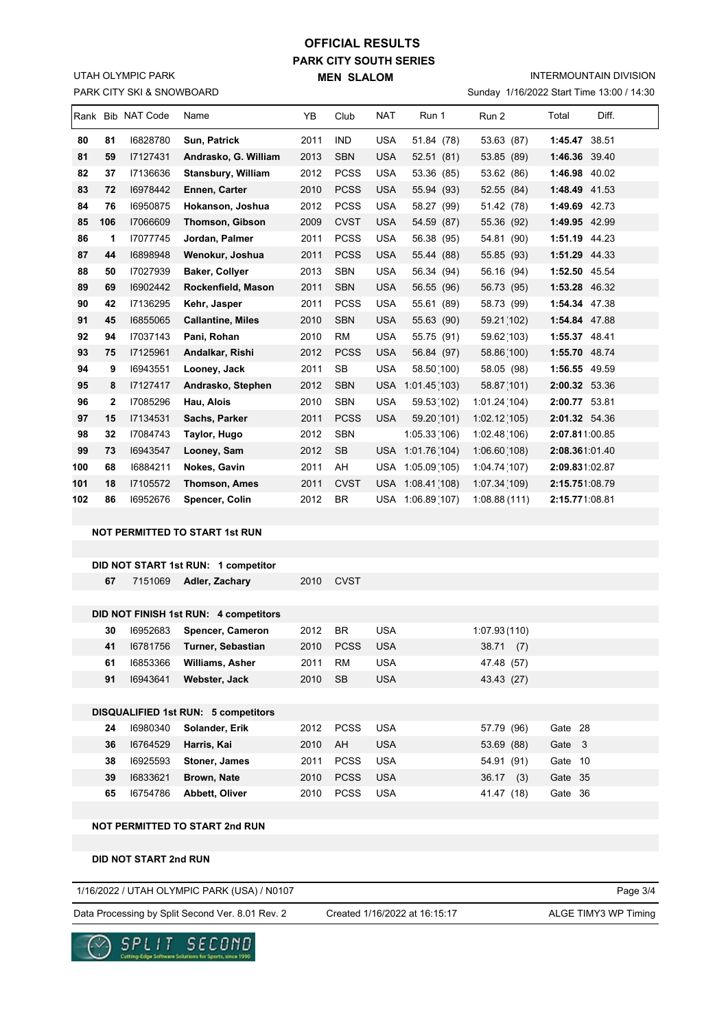### PARK CITY SKI & SNOWBOARD UTAH OLYMPIC PARK

# **PARK CITY SOUTH SERIES MEN SLALOM OFFICIAL RESULTS**

INTERMOUNTAIN DIVISION

Sunday 1/16/2022 Start Time 13:00 / 14:30

|     |              | Rank Bib NAT Code | Name                                                                                                                                                                                                                                                                                                                                                                                                                                                                                 | YB.  | Club        | <b>NAT</b> | Run 1        | Run 2        | Total | Diff. |
|-----|--------------|-------------------|--------------------------------------------------------------------------------------------------------------------------------------------------------------------------------------------------------------------------------------------------------------------------------------------------------------------------------------------------------------------------------------------------------------------------------------------------------------------------------------|------|-------------|------------|--------------|--------------|-------|-------|
| 80  | 81           | 16828780          | Sun, Patrick                                                                                                                                                                                                                                                                                                                                                                                                                                                                         | 2011 | <b>IND</b>  | <b>USA</b> | 51.84 (78)   | 53.63 (87)   |       |       |
| 81  | 59           | 17127431          | Andrasko, G. William                                                                                                                                                                                                                                                                                                                                                                                                                                                                 | 2013 | <b>SBN</b>  | <b>USA</b> | 52.51(81)    | 53.85 (89)   |       |       |
| 82  | 37           | 17136636          | <b>Stansbury, William</b>                                                                                                                                                                                                                                                                                                                                                                                                                                                            | 2012 | <b>PCSS</b> | <b>USA</b> | 53.36 (85)   | 53.62 (86)   |       |       |
| 83  | 72           | 16978442          | Ennen, Carter                                                                                                                                                                                                                                                                                                                                                                                                                                                                        | 2010 | <b>PCSS</b> | <b>USA</b> | 55.94 (93)   | 52.55 (84)   |       |       |
| 84  | 76           | 16950875          | Hokanson, Joshua                                                                                                                                                                                                                                                                                                                                                                                                                                                                     | 2012 | <b>PCSS</b> | <b>USA</b> | 58.27 (99)   | 51.42 (78)   |       |       |
| 85  | 106          | 17066609          | <b>Thomson, Gibson</b>                                                                                                                                                                                                                                                                                                                                                                                                                                                               | 2009 | <b>CVST</b> | <b>USA</b> | 54.59 (87)   | 55.36 (92)   |       |       |
| 86  | 1            | 17077745          | Jordan. Palmer                                                                                                                                                                                                                                                                                                                                                                                                                                                                       | 2011 | <b>PCSS</b> | <b>USA</b> | 56.38 (95)   | 54.81 (90)   |       |       |
| 87  | 44           | 16898948          | Wenokur, Joshua                                                                                                                                                                                                                                                                                                                                                                                                                                                                      | 2011 | <b>PCSS</b> | <b>USA</b> | 55.44 (88)   | 55.85 (93)   |       |       |
| 88  | 50           | 17027939          | <b>Baker, Collyer</b>                                                                                                                                                                                                                                                                                                                                                                                                                                                                | 2013 | <b>SBN</b>  | <b>USA</b> | 56.34 (94)   | 56.16 (94)   |       |       |
| 89  | 69           | 16902442          | Rockenfield, Mason                                                                                                                                                                                                                                                                                                                                                                                                                                                                   | 2011 | <b>SBN</b>  | <b>USA</b> | 56.55 (96)   | 56.73 (95)   |       |       |
| 90  | 42           | I7136295          | Kehr, Jasper                                                                                                                                                                                                                                                                                                                                                                                                                                                                         | 2011 | <b>PCSS</b> | <b>USA</b> | 55.61 (89)   | 58.73 (99)   |       |       |
| 91  | 45           | 16855065          | <b>Callantine, Miles</b>                                                                                                                                                                                                                                                                                                                                                                                                                                                             | 2010 | <b>SBN</b>  | <b>USA</b> | 55.63 (90)   | 59.21 (102)  |       |       |
| 92  | 94           | 17037143          | Pani, Rohan                                                                                                                                                                                                                                                                                                                                                                                                                                                                          | 2010 | RM          | <b>USA</b> | 55.75 (91)   | 59.62 (103)  |       |       |
| 93  | 75           | 17125961          | Andalkar, Rishi                                                                                                                                                                                                                                                                                                                                                                                                                                                                      | 2012 | <b>PCSS</b> | <b>USA</b> | 56.84 (97)   | 58.86(100)   |       |       |
| 94  | 9            | 16943551          | Looney, Jack                                                                                                                                                                                                                                                                                                                                                                                                                                                                         | 2011 | <b>SB</b>   | <b>USA</b> | 58.50(100)   | 58.05 (98)   |       |       |
| 95  | 8            | 17127417          | Andrasko, Stephen                                                                                                                                                                                                                                                                                                                                                                                                                                                                    | 2012 | <b>SBN</b>  | <b>USA</b> | 1:01.45(103) | 58.87(101)   |       |       |
| 96  | $\mathbf{2}$ | 17085296          | Hau, Alois                                                                                                                                                                                                                                                                                                                                                                                                                                                                           | 2010 | <b>SBN</b>  | <b>USA</b> | 59.53 (102)  | 1:01.24(104) |       |       |
| 97  | 15           | 17134531          | Sachs, Parker                                                                                                                                                                                                                                                                                                                                                                                                                                                                        | 2011 | <b>PCSS</b> | <b>USA</b> | 59.20(101)   | 1:02.12(105) |       |       |
| 98  | 32           | 17084743          | Taylor, Hugo                                                                                                                                                                                                                                                                                                                                                                                                                                                                         | 2012 | <b>SBN</b>  |            | 1:05.33(106) | 1:02.48(106) |       |       |
| 99  | 73           | 16943547          | Looney, Sam                                                                                                                                                                                                                                                                                                                                                                                                                                                                          | 2012 | <b>SB</b>   |            | 1:01.76(104) | 1:06.60(108) |       |       |
| 100 | 68           | 16884211          | Nokes, Gavin                                                                                                                                                                                                                                                                                                                                                                                                                                                                         | 2011 | AH          | <b>USA</b> | 1:05.09(105) | 1:04.74(107) |       |       |
| 101 | 18           | 17105572          | <b>Thomson, Ames</b>                                                                                                                                                                                                                                                                                                                                                                                                                                                                 | 2011 | <b>CVST</b> |            | 1:08.41(108) | 1:07.34(109) |       |       |
| 102 | 86           | 16952676          | Spencer, Colin                                                                                                                                                                                                                                                                                                                                                                                                                                                                       | 2012 | <b>BR</b>   |            | 1:06.89(107) | 1:08.88(111) |       |       |
|     |              |                   |                                                                                                                                                                                                                                                                                                                                                                                                                                                                                      |      |             |            |              |              |       |       |
|     |              |                   | 1:45.47 38.51<br>1:46.36 39.40<br>1:46.98 40.02<br>1:48.49 41.53<br>1:49.69 42.73<br>1:49.95 42.99<br>1:51.19 44.23<br>1:51.29 44.33<br>1:52.50 45.54<br>1:53.28 46.32<br>1:54.34 47.38<br>1:54.84 47.88<br>1:55.37 48.41<br>1:55.70 48.74<br>1:56.55 49.59<br>2:00.32 53.36<br>2:00.77 53.81<br>2:01.32 54.36<br>2:07.811:00.85<br><b>USA</b><br>2:08.361:01.40<br>2:09.831:02.87<br><b>USA</b><br>2:15.751:08.79<br>2:15.771:08.81<br>USA<br><b>NOT PERMITTED TO START 1st RUN</b> |      |             |            |              |              |       |       |

#### **DID NOT START 1st RUN: 1 competitor**

|                                     | 67 | 7151069  | Adler, Zachary                        | 2010 | <b>CVST</b> |            |               |         |  |
|-------------------------------------|----|----------|---------------------------------------|------|-------------|------------|---------------|---------|--|
|                                     |    |          |                                       |      |             |            |               |         |  |
|                                     |    |          | DID NOT FINISH 1st RUN: 4 competitors |      |             |            |               |         |  |
|                                     | 30 | 16952683 | Spencer, Cameron                      | 2012 | <b>BR</b>   | <b>USA</b> | 1:07.93(110)  |         |  |
|                                     | 41 | 16781756 | Turner, Sebastian                     | 2010 | <b>PCSS</b> | <b>USA</b> | 38.71<br>(7)  |         |  |
|                                     | 61 | 16853366 | <b>Williams, Asher</b>                | 2011 | RM          | <b>USA</b> | 47.48 (57)    |         |  |
|                                     | 91 | 16943641 | Webster, Jack                         | 2010 | <b>SB</b>   | <b>USA</b> | 43.43 (27)    |         |  |
|                                     |    |          |                                       |      |             |            |               |         |  |
| DISQUALIFIED 1st RUN: 5 competitors |    |          |                                       |      |             |            |               |         |  |
|                                     | 24 | 16980340 | Solander, Erik                        | 2012 | <b>PCSS</b> | <b>USA</b> | 57.79 (96)    | Gate 28 |  |
|                                     | 36 | 16764529 | Harris, Kai                           | 2010 | AH          | <b>USA</b> | 53.69 (88)    | Gate 3  |  |
|                                     | 38 | 16925593 | Stoner, James                         | 2011 | <b>PCSS</b> | <b>USA</b> | 54.91 (91)    | Gate 10 |  |
|                                     | 39 | 16833621 | Brown, Nate                           | 2010 | <b>PCSS</b> | <b>USA</b> | 36.17<br>(3)  | Gate 35 |  |
|                                     | 65 | 16754786 | Abbett, Oliver                        | 2010 | <b>PCSS</b> | <b>USA</b> | 41.47<br>(18) | Gate 36 |  |
|                                     |    |          |                                       |      |             |            |               |         |  |

#### **NOT PERMITTED TO START 2nd RUN**

**DID NOT START 2nd RUN**

| 1/16/2022 / UTAH OLYMPIC PARK (USA) / N0107 | Page 3/4 |
|---------------------------------------------|----------|
|                                             |          |

Data Processing by Split Second Ver. 8.01 Rev. 2 Created 1/16/2022 at 16:15:17 ALGE TIMY3 WP Timing

Created 1/16/2022 at 16:15:17